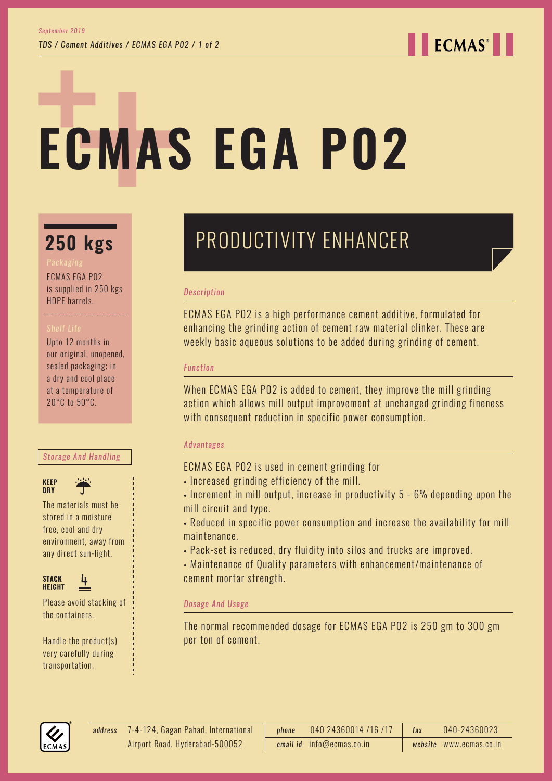**ECMAS**<sup>®</sup>

# **ECMAS EGA P02**

## **250 kgs**

ECMAS EGA P02 is supplied in 250 kgs HDPE barrels.

Upto 12 months in our original, unopened, sealed packaging; in a dry and cool place at a temperature of 20°C to 50°C.

#### *Storage And Handling*



The materials must be stored in a moisture free, cool and dry environment, away from any direct sun-light.



Please avoid stacking of the containers.

Handle the product(s) very carefully during transportation.

## PRODUCTIVITY ENHANCER

#### *Description*

ECMAS EGA P02 is a high performance cement additive, formulated for enhancing the grinding action of cement raw material clinker. These are weekly basic aqueous solutions to be added during grinding of cement.

#### *Function*

When ECMAS EGA P02 is added to cement, they improve the mill grinding action which allows mill output improvement at unchanged grinding fineness with consequent reduction in specific power consumption.

#### *Advantages*

ECMAS EGA P02 is used in cement grinding for

- Increased grinding efficiency of the mill.
- Increment in mill output, increase in productivity 5 6% depending upon the mill circuit and type.
- Reduced in specific power consumption and increase the availability for mill maintenance.
- Pack-set is reduced, dry fluidity into silos and trucks are improved.
- Maintenance of Quality parameters with enhancement/maintenance of cement mortar strength.

#### *Dosage And Usage*

The normal recommended dosage for ECMAS EGA P02 is 250 gm to 300 gm per ton of cement.



7-4-124, Gagan Pahad, International *address phone* 040 24360014 /16 /17 *fax* 040-24360023 *email id* info@ecmas.co.in *website* www.ecmas.co.in